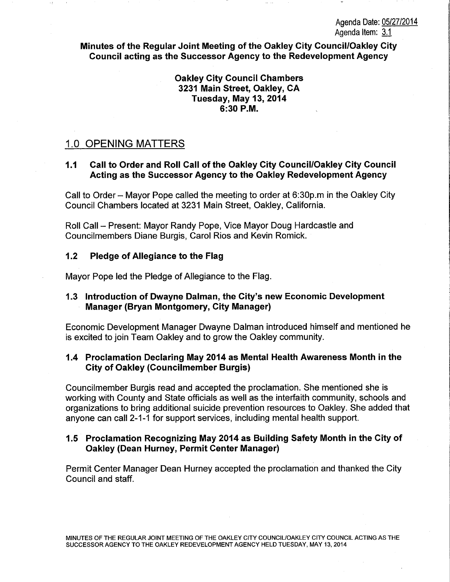## Agenda Date: 05/27/2014 Agenda Item:  $3.1$

Minutes of the Regular Joint Meeting of the Oakley City Council/Oakley City Council acting as the Successor Agency to the Redevelopment Agency

> Oakley City Council Chambers 3231 Main Street, Oakley, CA Tuesday, May 13, 2014 6:30P.M.

## 1.0 OPENING MATTERS

## 1.1 Call to Order and Roll Call of the Oakley City Council/Oakley City Council Acting as the Successor Agency to the Oakley Redevelopment Agency

Call to Order- Mayor Pope called the meeting to order at 6:30p.m in the Oakley City Council Chambers located at 3231 Main Street, Oakley, California.

Roll Call - Present: Mayor Randy Pope, Vice Mayor Doug Hardcastle and Councilmembers Diane Burgis, Carol Rios and Kevin Romick.

## 1.2 Pledge of Allegiance to the Flag

Mayor Pope led the Pledge of Allegiance to the Flag.

## 1.3 Introduction of Dwayne Dalman, the City's new Economic Development Manager (Bryan Montgomery, City Manager)

Economic Development Manager Dwayne Dalman introduced himself and mentioned he is excited to join Team Oakley and to grow the Oakley community.

## 1.4 Proclamation Declaring May 2014 as Mental Health Awareness Month in the City of Oakley (Councilmember Burgis)

Councilmember Burgis read and accepted the proclamation. She mentioned she is working with County and State officials as well as the interfaith community, schools and organizations to bring additional suicide prevention resources to Oakley. She added that anyone can call 2-1-1 for support services, including mental health support.

## 1.5 Proclamation Recognizing May 2014 as Building Safety Month in the City of Oakley (Dean Hurney, Permit Center Manager)

Permit Center Manager Dean Hurney accepted the proclamation and thanked the City Council and staff.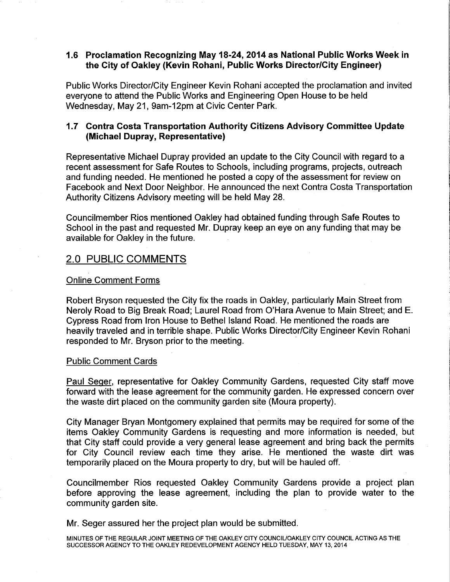## 1.6 Proclamation Recognizing May 18-24, 2014 as National Public Works Week in the City of Oakley (Kevin Rohani, Public Works Director/City Engineer)

Public Works Director/City Engineer Kevin Rohani accepted the proclamation and invited everyone to attend the Public Works and Engineering Open House to be held Wednesday, May 21, 9am-12pm at Civic Center Park.

## 1.7 Contra Costa Transportation Authority Citizens Advisory Committee Update (Michael Dupray, Representative)

Representative Michael Dupray provided an update to the City Council with regard to a recent assessment for Safe Routes to Schools, including programs, projects, outreach and funding needed. He mentioned he posted a copy of the assessment for review on Facebook and Next Door Neighbor. He announced the next Contra Costa Transportation Authority Citizens Advisory meeting will be held May 28.

Councilmember Rios mentioned Oakley had obtained funding through Safe Routes to School in the past and requested Mr. Dupray keep an eye on any funding that may be available for Oakley in the future.

# 2.0 PUBLIC COMMENTS

### Online Comment Forms

Robert Bryson requested the City fix the roads in Oakley, particularly Main Street from Neroly Road to Big Break Road; Laurel Road from O'Hara Avenue to Main Street; and E. Cypress Road from Iron House to Bethel Island Road. He mentioned the roads are heavily traveled and in terrible shape. Public Works Director/City Engineer Kevin Rohani responded to Mr. Bryson prior to the meeting.

#### Public Comment Cards

Paul Seger, representative for Oakley Community Gardens, requested City staff move forward with the lease agreement for the community garden. He expressed concern over the waste dirt placed on the community garden site (Moura property).

City Manager Bryan Montgomery explained that permits may be required for some of the items Oakley Community Gardens is requesting and more information is needed, but that City staff could provide a very general lease agreement and bring back the permits for City Council review each time they arise. He mentioned the waste dirt was temporarily placed on the Moura property to dry, but will be hauled off.

Councilmember Rios requested Oakley Community Gardens provide a project plan before approving the lease agreement, including the plan to provide water to the community garden site.

Mr. Seger assured her the project plan would be submitted.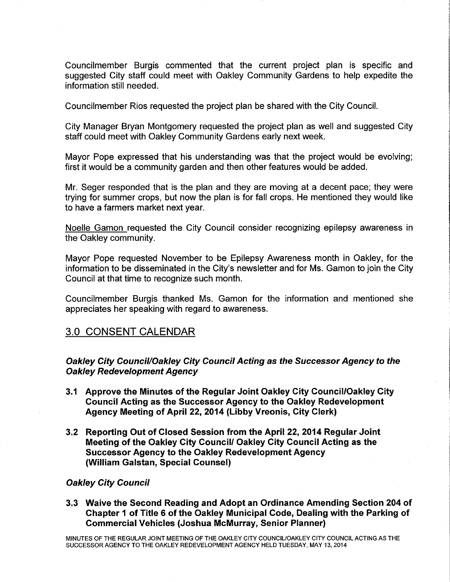Councilmember Burgis commented that the current project plan is specific and suggested City staff could meet with Oakley Community Gardens to help expedite the information still needed.

Councilmember Rios requested the project plan be shared with the City Council.

City Manager Bryan Montgomery requested the project plan as well and suggested City staff could meet with Oakley Community Gardens early next week.

Mayor Pope expressed that his understanding was that the project would be evolving; first it would be a community garden and then other features would be added.

Mr. Seger responded that is the plan and they are moving at a decent pace; they were trying for summer crops, but now the plan is for fall crops. He mentioned they would like to have a farmers market next year.

Noelle Gamon requested the City Council consider recognizing epilepsy awareness in the Oakley community.

Mayor Pope requested November to be Epilepsy Awareness month in Oakley, for the information to be disseminated in the City's newsletter and for Ms. Gamon to join the City Council at that time to recognize such month.

Councilmember Burgis thanked Ms. Gamon for the information and mentioned she appreciates her speaking with regard to awareness.

# 3.0 CONSENT CALENDAR

# Oakley City Council/Oakley City Council Acting as the Successor Agency to the Oakley Redevelopment Agency

- 3.1 Approve the Minutes of the Regular Joint Oakley City Council/Oakley City Council Acting as the Successor Agency to the Oakley Redevelopment Agency Meeting of April 22, 2014 (Libby Vreonis, City Clerk)
- 3.2 Reporting Out of Closed Session from the April 22, 2014 Regular Joint Meeting of the Oakley City Council/ Oakley City Council Acting as the Successor Agency to the Oakley Redevelopment Agency (William Galstan, Special Counsel)

## Oakley City Council

3.3 Waive the Second Reading and Adopt an Ordinance Amending Section 204 of Chapter 1 of Title 6 of the Oakley Municipal Code, Dealing with the Parking of Commercial Vehicles (Joshua McMurray, Senior Planner)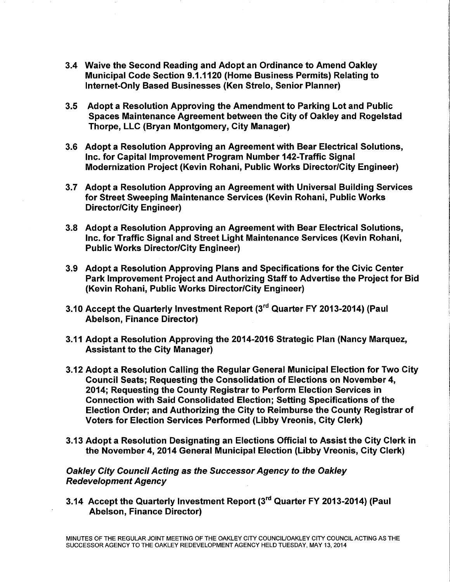- 3.4 Waive the Second Reading and Adopt an Ordinance to Amend Oakley Municipal Code Section 9.1.1120 (Home Business Permits) Relating to Internet-Only Based Businesses (Ken Strelo, Senior Planner)
- 3.5 Adopt a Resolution Approving the Amendment to Parking Lot and Public Spaces Maintenance Agreement between the City of Oakley and Rogelstad Thorpe, LLC (Bryan Montgomery, City Manager)
- 3.6 Adopt a Resolution Approving an Agreement with Bear Electrical Solutions, Inc. for Capital Improvement Program Number 142-Traffic Signal Modernization Project (Kevin Rohani, Public Works Director/City Engineer)
- 3.7 Adopt a Resolution Approving an Agreement with Universal Building Services for Street Sweeping Maintenance Services (Kevin Rohani, Public Works Director/City Engineer)
- 3.8 Adopt a Resolution Approving an Agreement with Bear Electrical Solutions, Inc. for Traffic Signal and Street Light Maintenance Services (Kevin Rohani, Public Works Director/City Engineer)
- 3.9 Adopt a Resolution Approving Plans and Specifications for the Civic Center Park Improvement Project and Authorizing Staff to Advertise the Project for Bid (Kevin Rohani, Public Works Director/City Engineer)
- 3.10 Accept the Quarterly Investment Report (3rd Quarter FY 2013-2014) (Paul Abelson, Finance Director)
- 3.11 Adopt a Resolution Approving the 2014-2016 Strategic Plan (Nancy Marquez, Assistant to the City Manager)
- 3.12 Adopt a Resolution Calling the Regular General Municipal Election for Two City Council Seats; Requesting the Consolidation of Elections on November 4, 2014; Requesting the County Registrar to Perform Election Services in Connection with Said Consolidated Election; Setting Specifications of the Election Order; and Authorizing the City to Reimburse the County Registrar of Voters for Election Services Performed (Libby Vreonis, City Clerk)
- 3.13 Adopt a Resolution Designating an Elections Official to Assist the City Clerk in the November 4, 2014 General Municipal Election (Libby Vreonis, City Clerk)

Oakley City Council Acting as the Successor Agency to the Oakley Redevelopment Agency

3.14 Accept the Quarterly Investment Report (3rd Quarter FY 2013-2014) (Paul Abelson, Finance Director)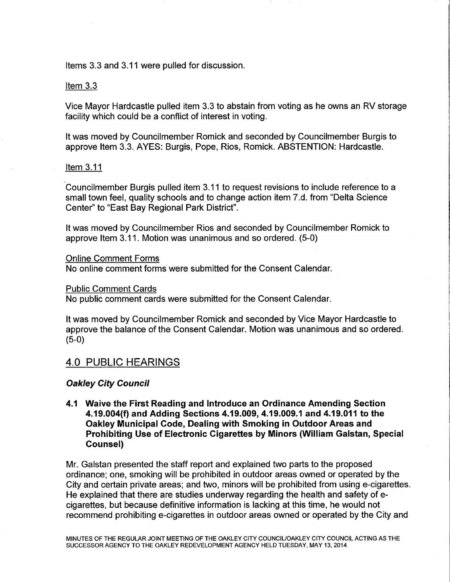Items 3.3 and 3.11 were pulled for discussion.

### Item 3.3

Vice Mayor Hardcastle pulled item 3.3 to abstain from voting as he owns an RV storage facility which could be a conflict of interest in voting.

It was moved by Councilmember Romick and seconded by Councilmember Burgis to approve Item 3.3. AYES: Burgis, Pope, Rios, Romick. ABSTENTION: Hardcastle.

#### Item 3.11

Councilmember Burgis pulled item 3.11 to request revisions to include reference to a small town feel, quality schools and to change action item 7.d. from "Delta Science Center" to "East Bay Regional Park District".

It was moved by Councilmember Rios and seconded by Councilmember Romick to approve Item 3.11. Motion was unanimous and so ordered. (5-0)

#### Online Comment Forms

No online comment forms were submitted for the Consent Calendar.

#### Public Comment Cards

No public comment cards were submitted for the Consent Calendar.

It was moved by Councilmember Romick and seconded by Vice Mayor Hardcastle to approve the balance of the Consent Calendar. Motion was unanimous and so ordered. (5-0)

# 4.0 PUBLIC HEARINGS

#### Oakley City Council

4.1 Waive the First Reading and Introduce an Ordinance Amending Section 4.19.004(f) and Adding Sections 4.19.009, 4.19.009.1 and 4.19.011 to the Oakley Municipal Code, Dealing with Smoking in Outdoor Areas and Prohibiting Use of Electronic Cigarettes by Minors (William Galstan, Special Counsel)

Mr. Galstan presented the staff report and explained two parts to the proposed ordinance; one, smoking will be prohibited in outdoor areas owned or operated by the City and certain private areas; and two, minors will be prohibited from using e-cigarettes. He explained that there are studies underway regarding the health and safety of ecigarettes, but because definitive information is lacking at this time, he would not recommend prohibiting e-cigarettes in outdoor areas owned or operated by the City and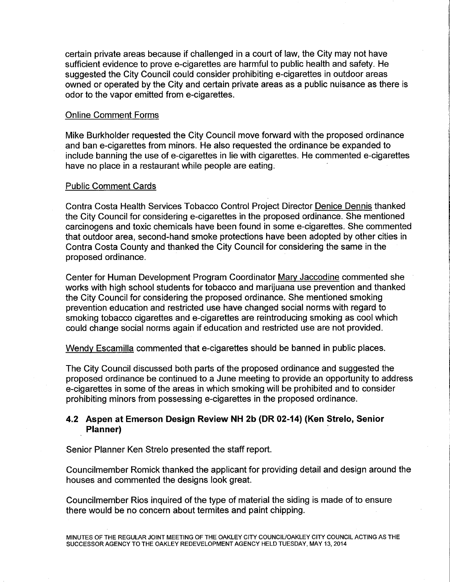certain private areas because if challenged in a court of law, the City may not have sufficient evidence to prove e-cigarettes are harmful to public health and safety. He suggested the City Council could consider prohibiting e-cigarettes in outdoor areas owned or operated by the City and certain private areas as a public nuisance as there is odor to the vapor emitted from e-cigarettes.

### Online Comment Forms

Mike Burkholder requested the City Council move forward with the proposed ordinance and ban e-cigarettes from minors. He also requested the ordinance be expanded to include banning the use of e-cigarettes in lie with cigarettes. He commented e-cigarettes have no place in a restaurant while people are eating.

#### Public Comment Cards

Contra Costa Health Services Tobacco Control Project Director Denice Dennis thanked the City Council for considering e-cigarettes in the proposed ordinance. She mentioned carcinogens and toxic chemicals have been found in some e-cigarettes. She commented that outdoor area, second-hand smoke protections have been adopted by other cities in Contra Costa County and thanked the City Council for considering the same in the proposed ordinance.

Center for Human Development Program Coordinator Mary Jaccodine commented she works with high school students for tobacco and marijuana use prevention and thanked the City Council for considering the proposed ordinance. She mentioned smoking prevention education and restricted use have changed social norms with regard to smoking tobacco cigarettes and e-cigarettes are reintroducing smoking as cool which could change social norms again if education and restricted use are not provided.

Wendy Escamilla commented that e-cigarettes should be banned in public places.

The City Council discussed both parts of the proposed ordinance and suggested the proposed ordinance be continued to a June meeting to provide an opportunity to address e-cigarettes in some of the areas in which smoking will be prohibited and to consider prohibiting minors from possessing e-cigarettes in the proposed ordinance.

## **4.2 Aspen at Emerson Design Review NH 2b (DR 02-14) (Ken Strelo, Senior Planner)** ·

Senior Planner Ken Strelo presented the staff report.

Councilmember Romick thanked the applicant for providing detail and design around the houses and commented the designs look great.

Council member Rios inquired of the type of material the siding is made of to ensure there would be no concern about termites and paint chipping.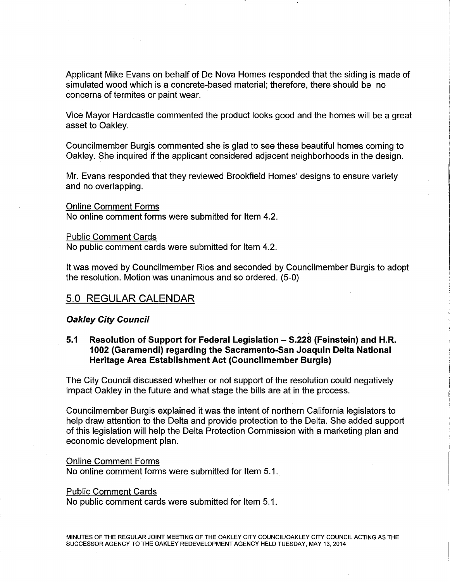Applicant Mike Evans on behalf of De Nova Homes responded that the siding is made of simulated wood which is a concrete-based material; therefore, there should be no concerns of termites or paint wear.

Vice Mayor Hardcastle commented the product looks good and the homes will be a great asset to Oakley.

Councilmember Burgis commented she is glad to see these beautiful homes coming to Oakley. She inquired if the applicant considered adjacent neighborhoods in the design.

Mr. Evans responded that they reviewed Brookfield Homes' designs to ensure variety and no overlapping.

Online Comment Forms No online comment forms were submitted for Item 4.2.

Public Comment Cards

No public comment cards were submitted for Item 4.2.

It was moved by Councilmember Rios and seconded by Councilmember Burgis to adopt the resolution. Motion was unanimous and so ordered. (5-0)

# 5.0 REGULAR CALENDAR

#### Oakley City Council

## 5.1 Resolution of Support for Federal Legislation – S.228 (Feinstein) and H.R. 1002 (Garamendi) regarding the Sacramento-San Joaquin Delta National Heritage Area Establishment Act (Councilmember Burgis)

The City Council discussed whether or not support of the resolution could negatively impact Oakley in the future and what stage the bills are at in the process.

Councilmember Burgis explained it was the intent of northern California legislators to help draw attention to the Delta and provide protection to the Delta. She added support of this legislation will help the Delta Protection Commission with a marketing plan and economic development plan.

#### Online Comment Forms

No online comment forms were submitted for Item 5.1.

#### Public Comment Cards

No public comment cards were submitted for Item 5.1.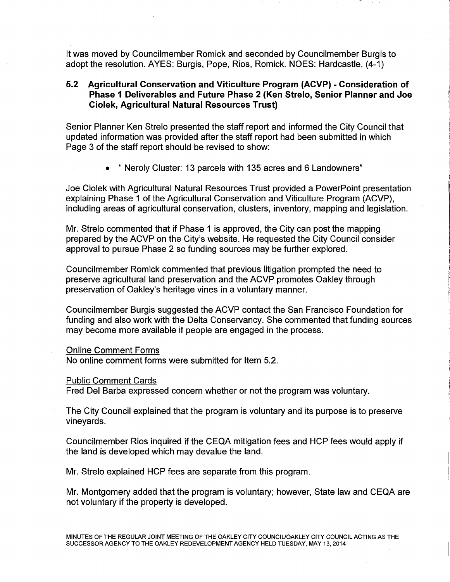It was moved by Councilmember Romick and seconded by Councilmember Burgis to adopt the resolution. AYES: Burgis, Pope, Rios, Romick. NOES: Hardcastle. (4-1)

## **5.2 Agricultural Conservation and Viticulture Program (ACVP) - Consideration of Phase 1 Deliverables and Future Phase 2 (Ken Strelo, Senior Planner and Joe Ciolek, Agricultural Natural Resources Trust)**

Senior Planner Ken Strelo presented the staff report and informed the City Council that updated information was provided after the staff report had been submitted in which Page 3 of the staff report should be revised to show:

• " Neroly Cluster: 13 parcels with 135 acres and 6 Landowners"

Joe Ciolek with Agricultural Natural Resources Trust provided a PowerPoint presentation explaining Phase 1 of the Agricultural Conservation and Viticulture Program (ACVP), including areas of agricultural conservation, clusters, inventory, mapping and legislation.

Mr. Strelo commented that if Phase 1 is approved, the City can post the mapping prepared by the ACVP on the City's website. He requested the City Council consider approval to pursue Phase 2 so funding sources may be further explored.

Councilmember Romick commented that previous litigation prompted the need to preserve agricultural land preservation and the ACVP promotes Oakley through preservation of Oakley's heritage vines in a voluntary manner.

Councilmember Burgis suggested the ACVP contact the San Francisco Foundation for funding and also work with the Delta Conservancy. She commented that funding sources may become more available if people are engaged in the process.

#### Online Comment Forms

No online comment forms were submitted for Item 5.2.

#### Public Comment Cards

Fred Del Barba expressed concern whether or not the program was voluntary.

The City Council explained that the program is voluntary and its purpose is to preserve vineyards.

Councilmember Rios inquired if the CEQA mitigation fees and HCP fees would apply if the land is developed which may devalue the land.

Mr. Strelo explained HCP fees are separate from this program.

Mr. Montgomery added that the program is voluntary; however, State law and CEQA are not voluntary if the property is developed.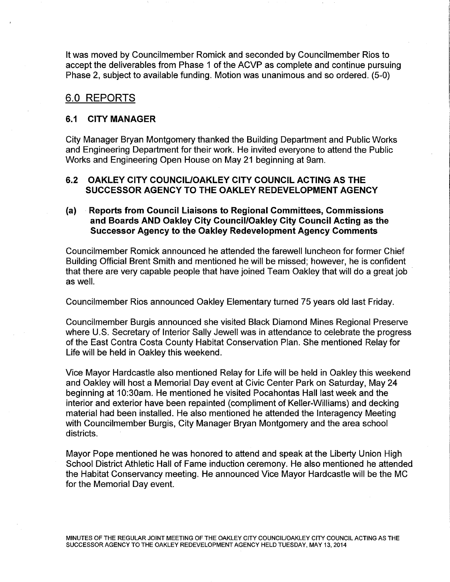It was moved by Councilmember Romick and seconded by Councilmember Rios to accept the deliverables from Phase 1 of the ACVP as complete and continue pursuing Phase 2, subject to available funding. Motion was unanimous and so ordered. (5-0)

# 6.0 REPORTS

### 6.1 CITY MANAGER

City Manager Bryan Montgomery thanked the Building Department and Public Works and Engineering Department for their work. He invited everyone to attend the Public Works and Engineering Open House on May 21 beginning at 9am.

## 6.2 OAKLEY CITY COUNCIL/OAKLEY CITY COUNCIL ACTING AS THE SUCCESSOR AGENCY TO THE OAKLEY REDEVELOPMENT AGENCY

## (a) Reports from Council Liaisons to Regional Committees, Commissions and Boards AND Oakley City Council/Oakley City Council Acting as the Successor Agency to the Oakley Redevelopment Agency Comments

Councilmember Romick announced he attended the farewell luncheon for former Chief Building Official Brent Smith and mentioned he will be missed; however, he is confident that there are very capable people that have joined Team Oakley that will do a great job as well.

Councilmember Rios announced Oakley Elementary turned 75 years old last Friday.

Councilmember Burgis announced she visited Black Diamond Mines Regional Preserve where U.S. Secretary of Interior Sally Jewell was in attendance to celebrate the progress of the East Contra Costa County Habitat Conservation Plan. She mentioned Relay for Life will be held in Oakley this weekend.

Vice Mayor Hardcastle also mentioned Relay for Life will be held in Oakley this weekend and Oakley will host a Memorial Day event at Civic Center Park on Saturday, May 24 beginning at 10:30am. He mentioned he visited Pocahontas Hall last week and the interior and exterior have been repainted (compliment of Keller-Williams) and decking material had been installed. He also mentioned he attended the Interagency Meeting with Councilmember Burgis, City Manager Bryan Montgomery and the area school districts.

Mayor Pope mentioned he was honored to attend and speak at the Liberty Union High School District Athletic Hall of Fame induction ceremony. He also mentioned he attended the Habitat Conservancy meeting. He announced Vice Mayor Hardcastle will be the MC for the Memorial Day event.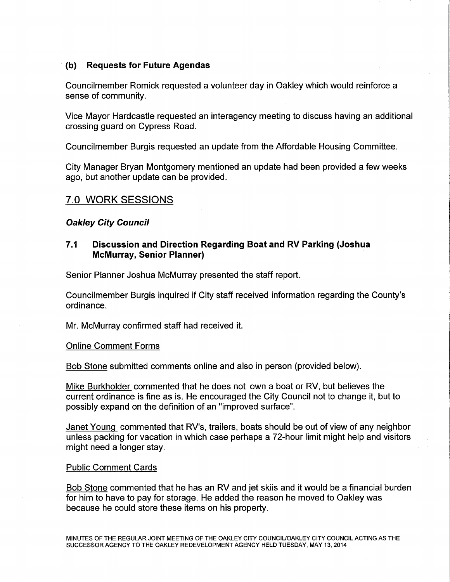## **(b) Requests for Future Agendas**

Councilmember Romick requested a volunteer day in Oakley which would reinforce a sense of community.

Vice Mayor Hardcastle requested an interagency meeting to discuss having an additional crossing guard on Cypress Road.

Councilmember Burgis requested an update from the Affordable Housing Committee.

City Manager Bryan Montgomery mentioned an update had been provided a few weeks ago, but another update can be provided.

# 7.0 WORK SESSIONS

### **Oakley City Council**

## **7.1 Discussion and Direction Regarding Boat and RV Parking (Joshua McMurray, Senior Planner)**

Senior Planner Joshua McMurray presented the staff report.

Councilmember Burgis inquired if City staff received information regarding the County's ordinance.

Mr. McMurray confirmed staff had received it.

#### Online Comment Forms

Bob Stone submitted comments online and also in person (provided below).

Mike Burkholder commented that he does not own a boat or RV, but believes the current ordinance is fine as is. He encouraged the City Council not to change it, but to possibly expand on the definition of an "improved surface".

Janet Young commented that RV's, trailers, boats should be out of view of any neighbor unless packing for vacation in which case perhaps a 72-hour limit might help and visitors might need a longer stay.

#### Public Comment Cards

Bob Stone commented that he has an RV and jet skiis and it would be a financial burden for him to have to pay for storage. He added the reason he moved to Oakley was because he could store these items on his property.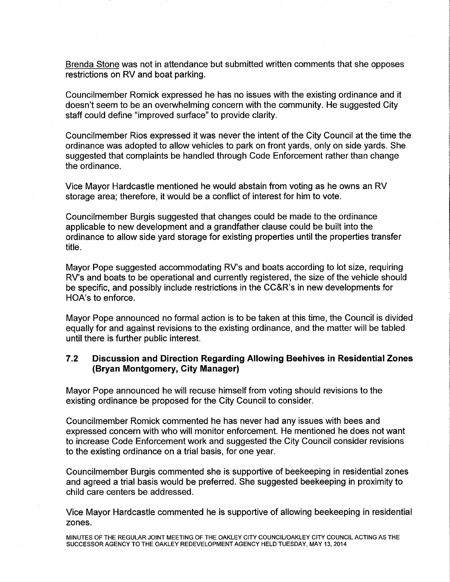Brenda Stone was not in attendance but submitted written comments that she opposes restrictions on RV and boat parking.

Councilmember Romick expressed he has no issues with the existing ordinance and it doesn't seem to be an overwhelming concern with the community. He suggested City staff could define "improved surface" to provide clarity.

Councilmember Rios expressed it was never the intent of the City Council at the time the ordinance was adopted to allow vehicles to park on front yards, only on side yards. She suggested that complaints be handled through Code Enforcement rather than change the ordinance.

Vice Mayor Hardcastle mentioned he would abstain from voting as he owns an RV storage area; therefore, it would be a conflict of interest for him to vote.

Councilmember Burgis suggested that changes could be made to the ordinance applicable to new development and a grandfather clause could be built into the ordinance to allow side yard storage for existing properties until the properties transfer title.

Mayor Pope suggested accommodating RV's and boats according to lot size, requiring RV's and boats to be operational and currently registered, the size of the vehicle should be specific, and possibly include restrictions in the CC&R's in new developments for HOA's to enforce.

Mayor Pope announced no formal action is to be taken at this time, the Council is divided equally for and against revisions to the existing ordinance, and the matter will be tabled until there is further public interest.

# **7.2 Discussion and Direction Regarding Allowing Beehives in Residential Zones (Bryan Montgomery, City Manager)**

Mayor Pope announced he will recuse himself from voting should revisions to the existing ordinance be proposed for the City Council to consider.

Councilmember Romick commented he has never had any issues with bees and expressed concern with who will monitor enforcement. He mentioned he does not want to increase Code Enforcement work and suggested the City Council consider revisions to the existing ordinance on a trial basis, for one year.

Councilmember Burgis commented she is supportive of beekeeping in residential zones and agreed a trial basis would be preferred. She suggested beekeeping in proximity to child care centers be addressed.

Vice Mayor Hardcastle commented he is supportive of allowing beekeeping in residential zones.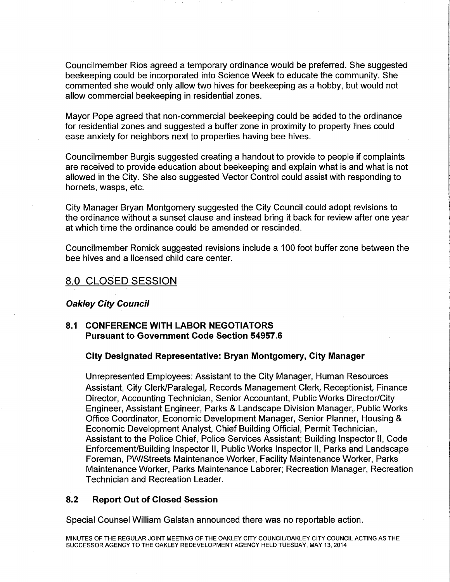Councilmember Rios agreed a temporary ordinance would be preferred. She suggested beekeeping could be incorporated into Science Week to educate the community. She commented she would only allow two hives for beekeeping as a hobby, but would not allow commercial beekeeping in residential zones.

Mayor Pope agreed that non-commercial beekeeping could be added to the ordinance for residential zones and suggested a buffer zone in proximity to property lines could ease anxiety for neighbors next to properties having bee hives.

Councilmember Burgis suggested creating a handout to provide to people if complaints are received to provide education about beekeeping and explain what is and what is not allowed in the City. She also suggested Vector Control could assist with responding to hornets, wasps, etc.

City Manager Bryan Montgomery suggested the City Council could adopt revisions to the ordinance without a sunset clause and instead bring it back for review after one year at which time the ordinance could be amended or rescinded.

Councilmember Romick suggested revisions include a 100 foot buffer zone between the bee hives and a licensed child care center.

# 8.0 CLOSED SESSION

#### **Oakley City Council**

## **8.1 CONFERENCE WITH LABOR NEGOTIATORS Pursuant to Government Code Section 54957.6**

#### **City Designated Representative: Bryan Montgomery, City Manager**

Unrepresented Employees: Assistant to the City Manager, Human Resources Assistant, City Clerk/Paralegal, Records Management Clerk, Receptionist, Finance Director, Accounting Technician, Senior Accountant, Public Works Director/City Engineer, Assistant Engineer, Parks & Landscape Division Manager, Public Works Office Coordinator, Economic Development Manager, Senior Planner, Housing & Economic Development Analyst, Chief Building Official, Permit Technician, Assistant to the Police Chief, Police Services Assistant; Building Inspector II, Code Enforcement/Building Inspector II, Public Works Inspector II, Parks and Landscape Foreman, PW/Streets Maintenance Worker, Facility Maintenance Worker, Parks Maintenance Worker, Parks Maintenance Laborer; Recreation Manager, Recreation Technician and Recreation Leader.

## **8.2 Report Out of Closed Session**

Special Counsel William Galstan announced there was no reportable action.